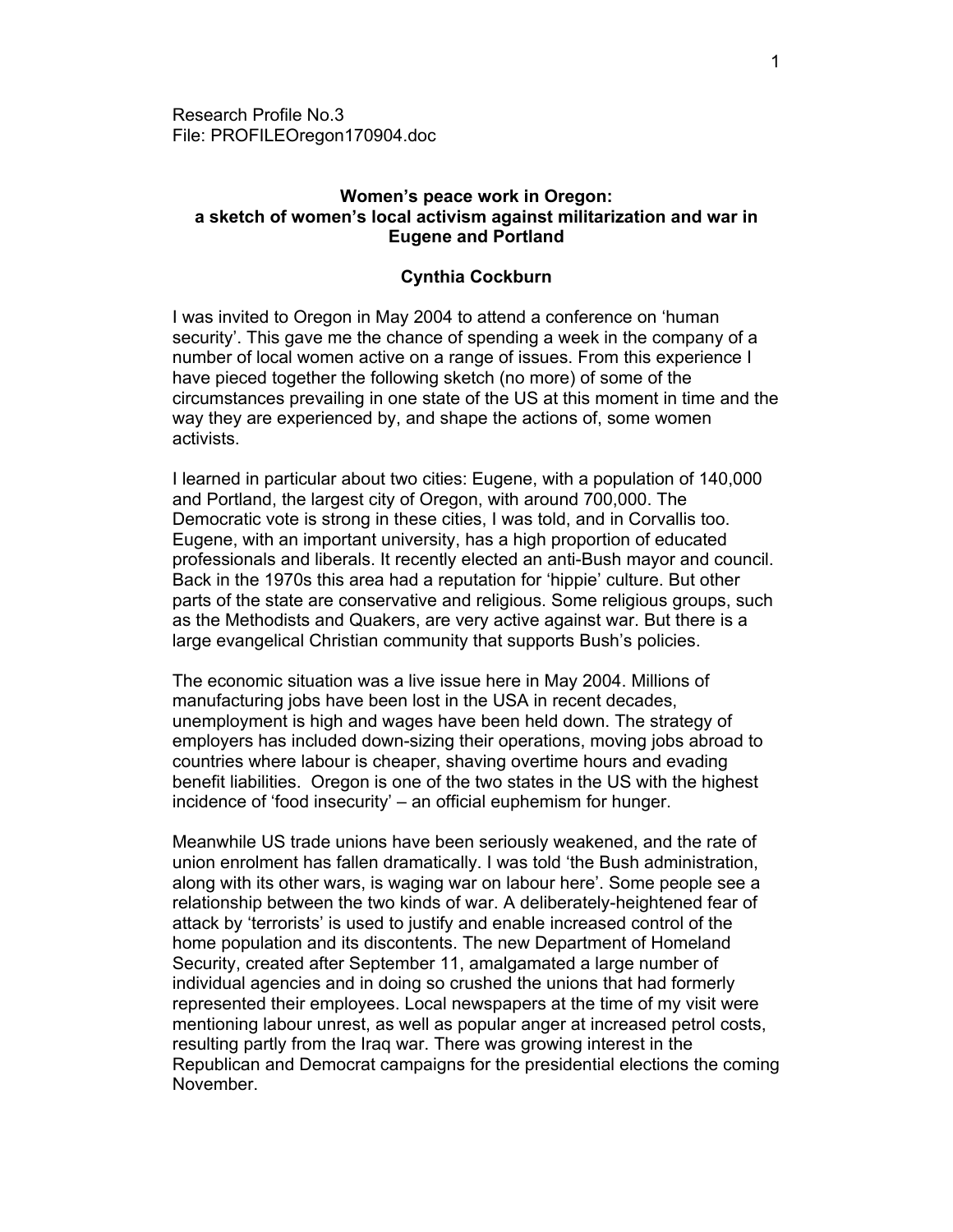Research Profile No.3 File: PROFILEOregon170904.doc

# **Women's peace work in Oregon: a sketch of women's local activism against militarization and war in Eugene and Portland**

# **Cynthia Cockburn**

I was invited to Oregon in May 2004 to attend a conference on 'human security'. This gave me the chance of spending a week in the company of a number of local women active on a range of issues. From this experience I have pieced together the following sketch (no more) of some of the circumstances prevailing in one state of the US at this moment in time and the way they are experienced by, and shape the actions of, some women activists.

I learned in particular about two cities: Eugene, with a population of 140,000 and Portland, the largest city of Oregon, with around 700,000. The Democratic vote is strong in these cities, I was told, and in Corvallis too. Eugene, with an important university, has a high proportion of educated professionals and liberals. It recently elected an anti-Bush mayor and council. Back in the 1970s this area had a reputation for 'hippie' culture. But other parts of the state are conservative and religious. Some religious groups, such as the Methodists and Quakers, are very active against war. But there is a large evangelical Christian community that supports Bush's policies.

The economic situation was a live issue here in May 2004. Millions of manufacturing jobs have been lost in the USA in recent decades, unemployment is high and wages have been held down. The strategy of employers has included down-sizing their operations, moving jobs abroad to countries where labour is cheaper, shaving overtime hours and evading benefit liabilities. Oregon is one of the two states in the US with the highest incidence of 'food insecurity' – an official euphemism for hunger.

Meanwhile US trade unions have been seriously weakened, and the rate of union enrolment has fallen dramatically. I was told 'the Bush administration, along with its other wars, is waging war on labour here'. Some people see a relationship between the two kinds of war. A deliberately-heightened fear of attack by 'terrorists' is used to justify and enable increased control of the home population and its discontents. The new Department of Homeland Security, created after September 11, amalgamated a large number of individual agencies and in doing so crushed the unions that had formerly represented their employees. Local newspapers at the time of my visit were mentioning labour unrest, as well as popular anger at increased petrol costs, resulting partly from the Iraq war. There was growing interest in the Republican and Democrat campaigns for the presidential elections the coming November.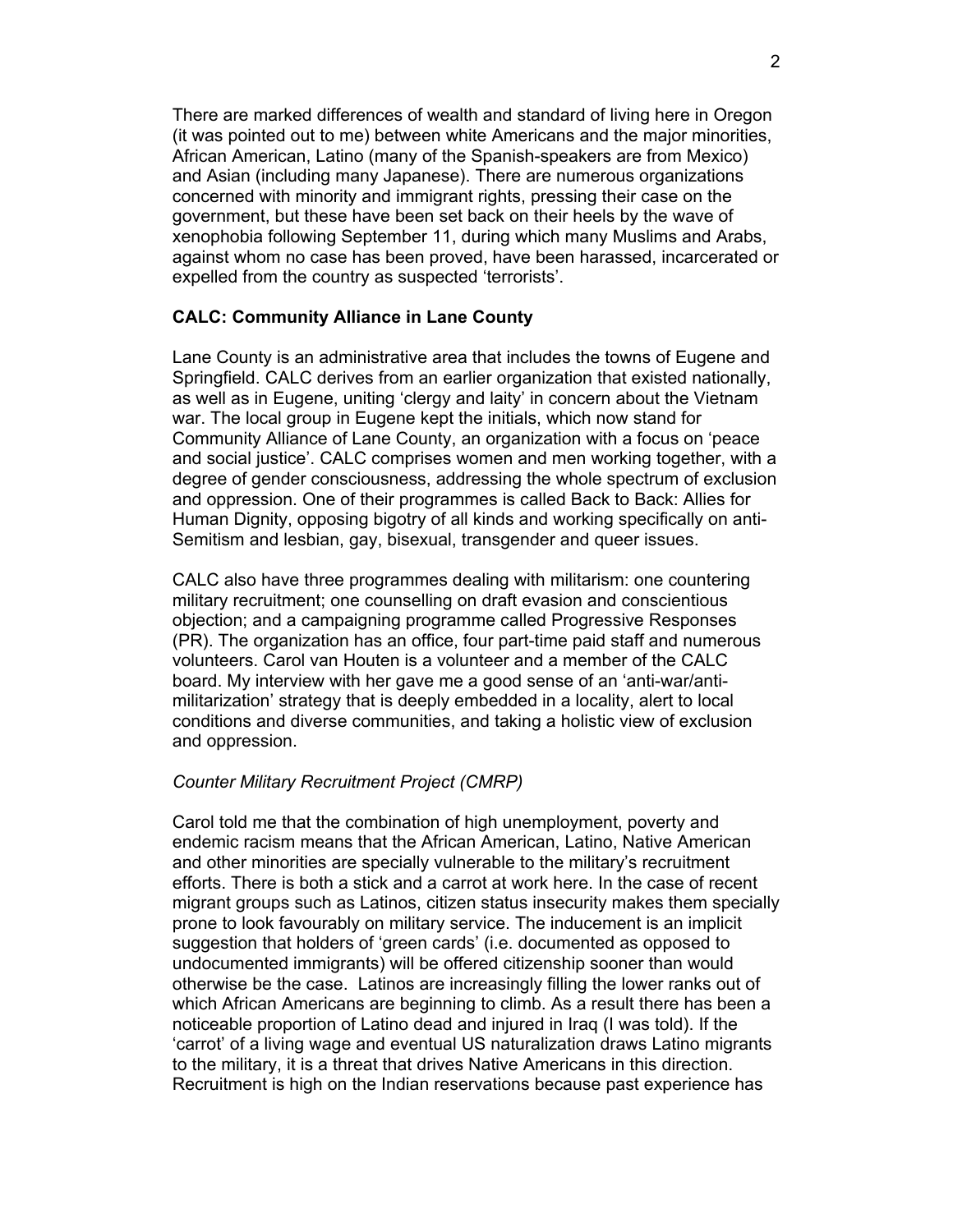There are marked differences of wealth and standard of living here in Oregon (it was pointed out to me) between white Americans and the major minorities, African American, Latino (many of the Spanish-speakers are from Mexico) and Asian (including many Japanese). There are numerous organizations concerned with minority and immigrant rights, pressing their case on the government, but these have been set back on their heels by the wave of xenophobia following September 11, during which many Muslims and Arabs, against whom no case has been proved, have been harassed, incarcerated or expelled from the country as suspected 'terrorists'.

# **CALC: Community Alliance in Lane County**

Lane County is an administrative area that includes the towns of Eugene and Springfield. CALC derives from an earlier organization that existed nationally, as well as in Eugene, uniting 'clergy and laity' in concern about the Vietnam war. The local group in Eugene kept the initials, which now stand for Community Alliance of Lane County, an organization with a focus on 'peace and social justice'. CALC comprises women and men working together, with a degree of gender consciousness, addressing the whole spectrum of exclusion and oppression. One of their programmes is called Back to Back: Allies for Human Dignity, opposing bigotry of all kinds and working specifically on anti-Semitism and lesbian, gay, bisexual, transgender and queer issues.

CALC also have three programmes dealing with militarism: one countering military recruitment; one counselling on draft evasion and conscientious objection; and a campaigning programme called Progressive Responses (PR). The organization has an office, four part-time paid staff and numerous volunteers. Carol van Houten is a volunteer and a member of the CALC board. My interview with her gave me a good sense of an 'anti-war/antimilitarization' strategy that is deeply embedded in a locality, alert to local conditions and diverse communities, and taking a holistic view of exclusion and oppression.

### *Counter Military Recruitment Project (CMRP)*

Carol told me that the combination of high unemployment, poverty and endemic racism means that the African American, Latino, Native American and other minorities are specially vulnerable to the military's recruitment efforts. There is both a stick and a carrot at work here. In the case of recent migrant groups such as Latinos, citizen status insecurity makes them specially prone to look favourably on military service. The inducement is an implicit suggestion that holders of 'green cards' (i.e. documented as opposed to undocumented immigrants) will be offered citizenship sooner than would otherwise be the case. Latinos are increasingly filling the lower ranks out of which African Americans are beginning to climb. As a result there has been a noticeable proportion of Latino dead and injured in Iraq (I was told). If the 'carrot' of a living wage and eventual US naturalization draws Latino migrants to the military, it is a threat that drives Native Americans in this direction. Recruitment is high on the Indian reservations because past experience has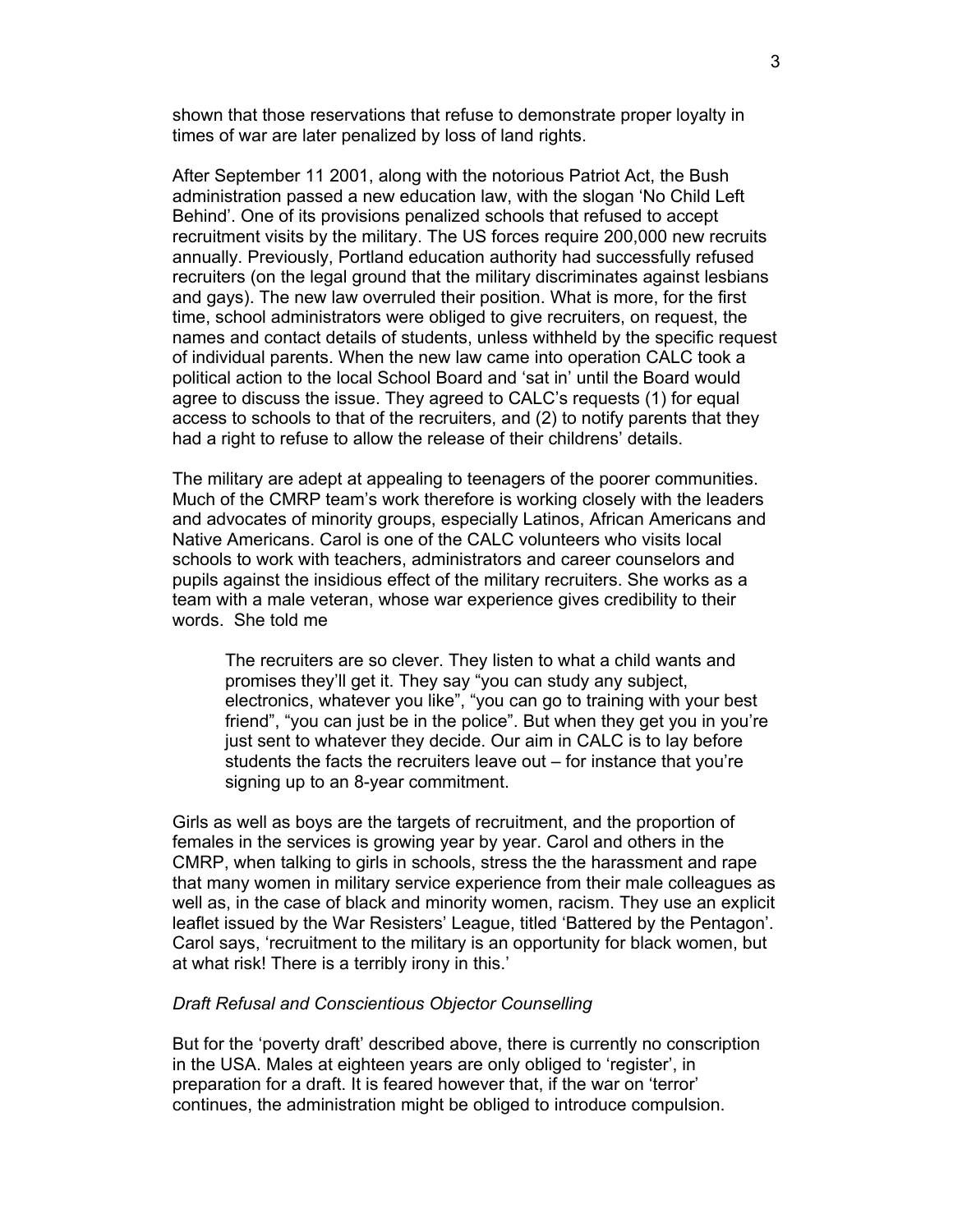shown that those reservations that refuse to demonstrate proper loyalty in times of war are later penalized by loss of land rights.

After September 11 2001, along with the notorious Patriot Act, the Bush administration passed a new education law, with the slogan 'No Child Left Behind'. One of its provisions penalized schools that refused to accept recruitment visits by the military. The US forces require 200,000 new recruits annually. Previously, Portland education authority had successfully refused recruiters (on the legal ground that the military discriminates against lesbians and gays). The new law overruled their position. What is more, for the first time, school administrators were obliged to give recruiters, on request, the names and contact details of students, unless withheld by the specific request of individual parents. When the new law came into operation CALC took a political action to the local School Board and 'sat in' until the Board would agree to discuss the issue. They agreed to CALC's requests (1) for equal access to schools to that of the recruiters, and (2) to notify parents that they had a right to refuse to allow the release of their childrens' details.

The military are adept at appealing to teenagers of the poorer communities. Much of the CMRP team's work therefore is working closely with the leaders and advocates of minority groups, especially Latinos, African Americans and Native Americans. Carol is one of the CALC volunteers who visits local schools to work with teachers, administrators and career counselors and pupils against the insidious effect of the military recruiters. She works as a team with a male veteran, whose war experience gives credibility to their words. She told me

The recruiters are so clever. They listen to what a child wants and promises they'll get it. They say "you can study any subject, electronics, whatever you like", "you can go to training with your best friend", "you can just be in the police". But when they get you in you're just sent to whatever they decide. Our aim in CALC is to lay before students the facts the recruiters leave out – for instance that you're signing up to an 8-year commitment.

Girls as well as boys are the targets of recruitment, and the proportion of females in the services is growing year by year. Carol and others in the CMRP, when talking to girls in schools, stress the the harassment and rape that many women in military service experience from their male colleagues as well as, in the case of black and minority women, racism. They use an explicit leaflet issued by the War Resisters' League, titled 'Battered by the Pentagon'. Carol says, 'recruitment to the military is an opportunity for black women, but at what risk! There is a terribly irony in this.'

### *Draft Refusal and Conscientious Objector Counselling*

But for the 'poverty draft' described above, there is currently no conscription in the USA. Males at eighteen years are only obliged to 'register', in preparation for a draft. It is feared however that, if the war on 'terror' continues, the administration might be obliged to introduce compulsion.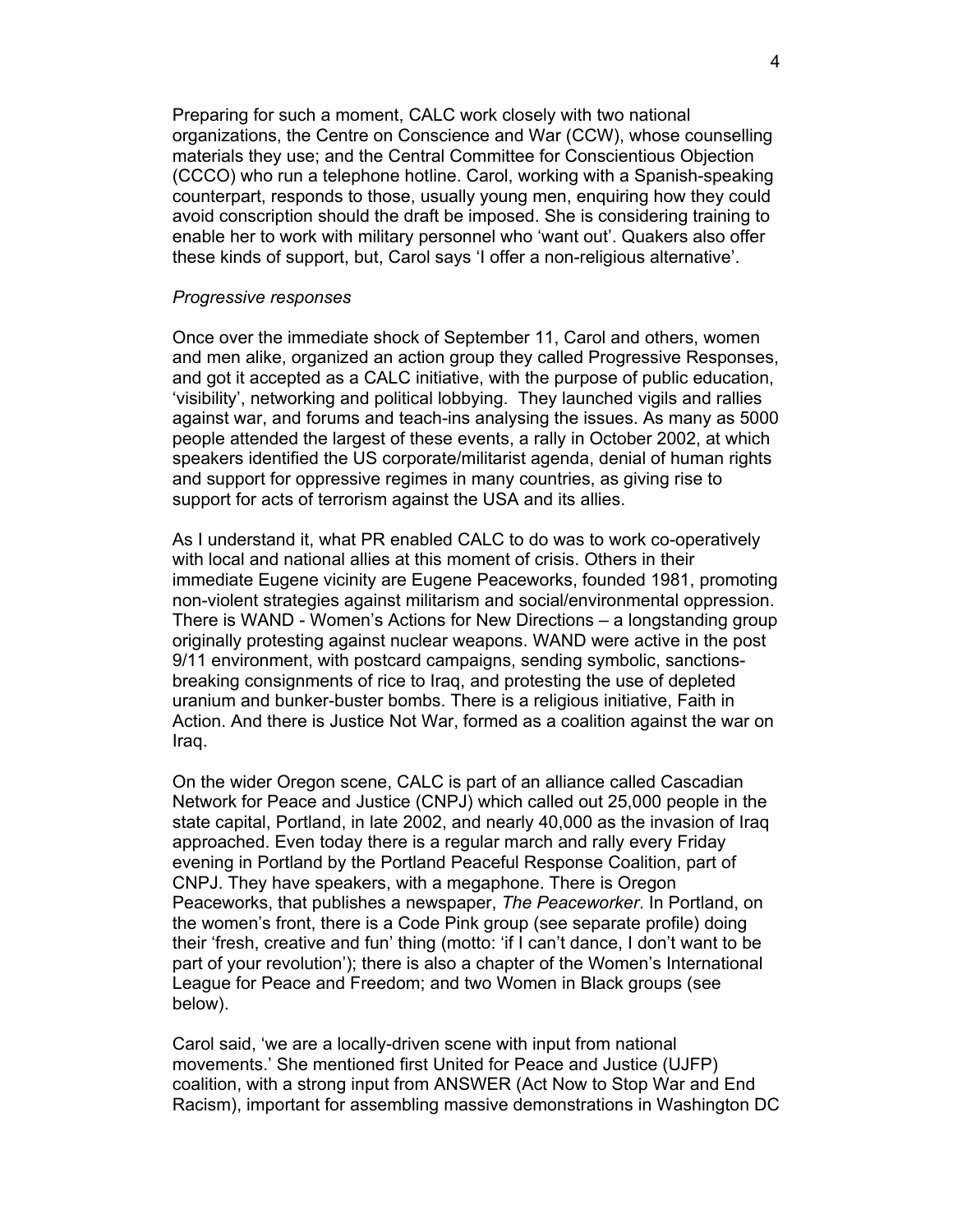Preparing for such a moment, CALC work closely with two national organizations, the Centre on Conscience and War (CCW), whose counselling materials they use; and the Central Committee for Conscientious Objection (CCCO) who run a telephone hotline. Carol, working with a Spanish-speaking counterpart, responds to those, usually young men, enquiring how they could avoid conscription should the draft be imposed. She is considering training to enable her to work with military personnel who 'want out'. Quakers also offer these kinds of support, but, Carol says 'I offer a non-religious alternative'.

#### *Progressive responses*

Once over the immediate shock of September 11, Carol and others, women and men alike, organized an action group they called Progressive Responses, and got it accepted as a CALC initiative, with the purpose of public education, 'visibility', networking and political lobbying. They launched vigils and rallies against war, and forums and teach-ins analysing the issues. As many as 5000 people attended the largest of these events, a rally in October 2002, at which speakers identified the US corporate/militarist agenda, denial of human rights and support for oppressive regimes in many countries, as giving rise to support for acts of terrorism against the USA and its allies.

As I understand it, what PR enabled CALC to do was to work co-operatively with local and national allies at this moment of crisis. Others in their immediate Eugene vicinity are Eugene Peaceworks, founded 1981, promoting non-violent strategies against militarism and social/environmental oppression. There is WAND - Women's Actions for New Directions – a longstanding group originally protesting against nuclear weapons. WAND were active in the post 9/11 environment, with postcard campaigns, sending symbolic, sanctionsbreaking consignments of rice to Iraq, and protesting the use of depleted uranium and bunker-buster bombs. There is a religious initiative, Faith in Action. And there is Justice Not War, formed as a coalition against the war on Iraq.

On the wider Oregon scene, CALC is part of an alliance called Cascadian Network for Peace and Justice (CNPJ) which called out 25,000 people in the state capital, Portland, in late 2002, and nearly 40,000 as the invasion of Iraq approached. Even today there is a regular march and rally every Friday evening in Portland by the Portland Peaceful Response Coalition, part of CNPJ. They have speakers, with a megaphone. There is Oregon Peaceworks, that publishes a newspaper, *The Peaceworker*. In Portland, on the women's front, there is a Code Pink group (see separate profile) doing their 'fresh, creative and fun' thing (motto: 'if I can't dance, I don't want to be part of your revolution'); there is also a chapter of the Women's International League for Peace and Freedom; and two Women in Black groups (see below).

Carol said, 'we are a locally-driven scene with input from national movements.' She mentioned first United for Peace and Justice (UJFP) coalition, with a strong input from ANSWER (Act Now to Stop War and End Racism), important for assembling massive demonstrations in Washington DC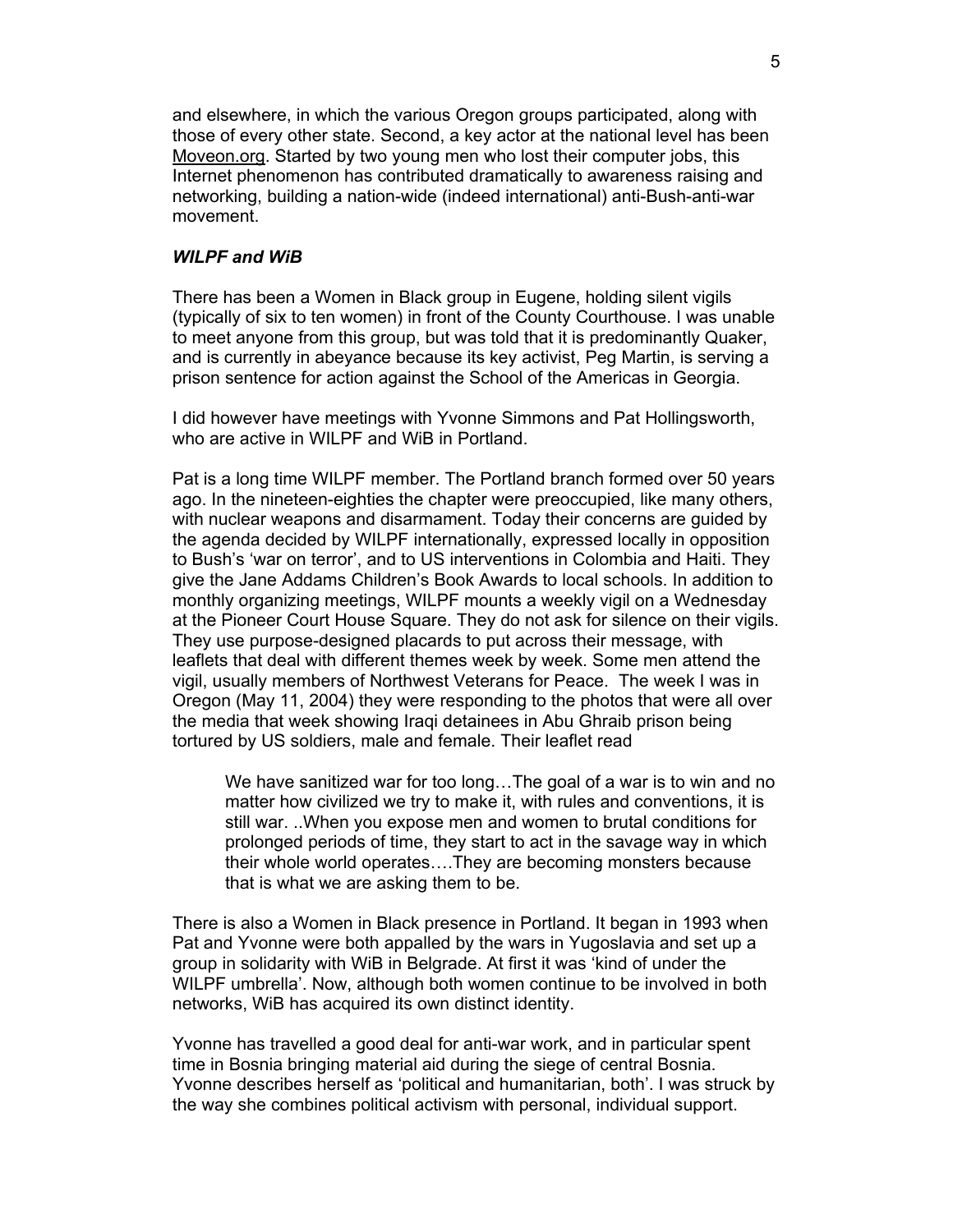and elsewhere, in which the various Oregon groups participated, along with those of every other state. Second, a key actor at the national level has been Moveon.org. Started by two young men who lost their computer jobs, this Internet phenomenon has contributed dramatically to awareness raising and networking, building a nation-wide (indeed international) anti-Bush-anti-war movement.

# *WILPF and WiB*

There has been a Women in Black group in Eugene, holding silent vigils (typically of six to ten women) in front of the County Courthouse. I was unable to meet anyone from this group, but was told that it is predominantly Quaker, and is currently in abeyance because its key activist, Peg Martin, is serving a prison sentence for action against the School of the Americas in Georgia.

I did however have meetings with Yvonne Simmons and Pat Hollingsworth, who are active in WILPF and WiB in Portland.

Pat is a long time WILPF member. The Portland branch formed over 50 years ago. In the nineteen-eighties the chapter were preoccupied, like many others, with nuclear weapons and disarmament. Today their concerns are guided by the agenda decided by WILPF internationally, expressed locally in opposition to Bush's 'war on terror', and to US interventions in Colombia and Haiti. They give the Jane Addams Children's Book Awards to local schools. In addition to monthly organizing meetings, WILPF mounts a weekly vigil on a Wednesday at the Pioneer Court House Square. They do not ask for silence on their vigils. They use purpose-designed placards to put across their message, with leaflets that deal with different themes week by week. Some men attend the vigil, usually members of Northwest Veterans for Peace. The week I was in Oregon (May 11, 2004) they were responding to the photos that were all over the media that week showing Iraqi detainees in Abu Ghraib prison being tortured by US soldiers, male and female. Their leaflet read

We have sanitized war for too long...The goal of a war is to win and no matter how civilized we try to make it, with rules and conventions, it is still war. ..When you expose men and women to brutal conditions for prolonged periods of time, they start to act in the savage way in which their whole world operates….They are becoming monsters because that is what we are asking them to be.

There is also a Women in Black presence in Portland. It began in 1993 when Pat and Yvonne were both appalled by the wars in Yugoslavia and set up a group in solidarity with WiB in Belgrade. At first it was 'kind of under the WILPF umbrella'. Now, although both women continue to be involved in both networks, WiB has acquired its own distinct identity.

Yvonne has travelled a good deal for anti-war work, and in particular spent time in Bosnia bringing material aid during the siege of central Bosnia. Yvonne describes herself as 'political and humanitarian, both'. I was struck by the way she combines political activism with personal, individual support.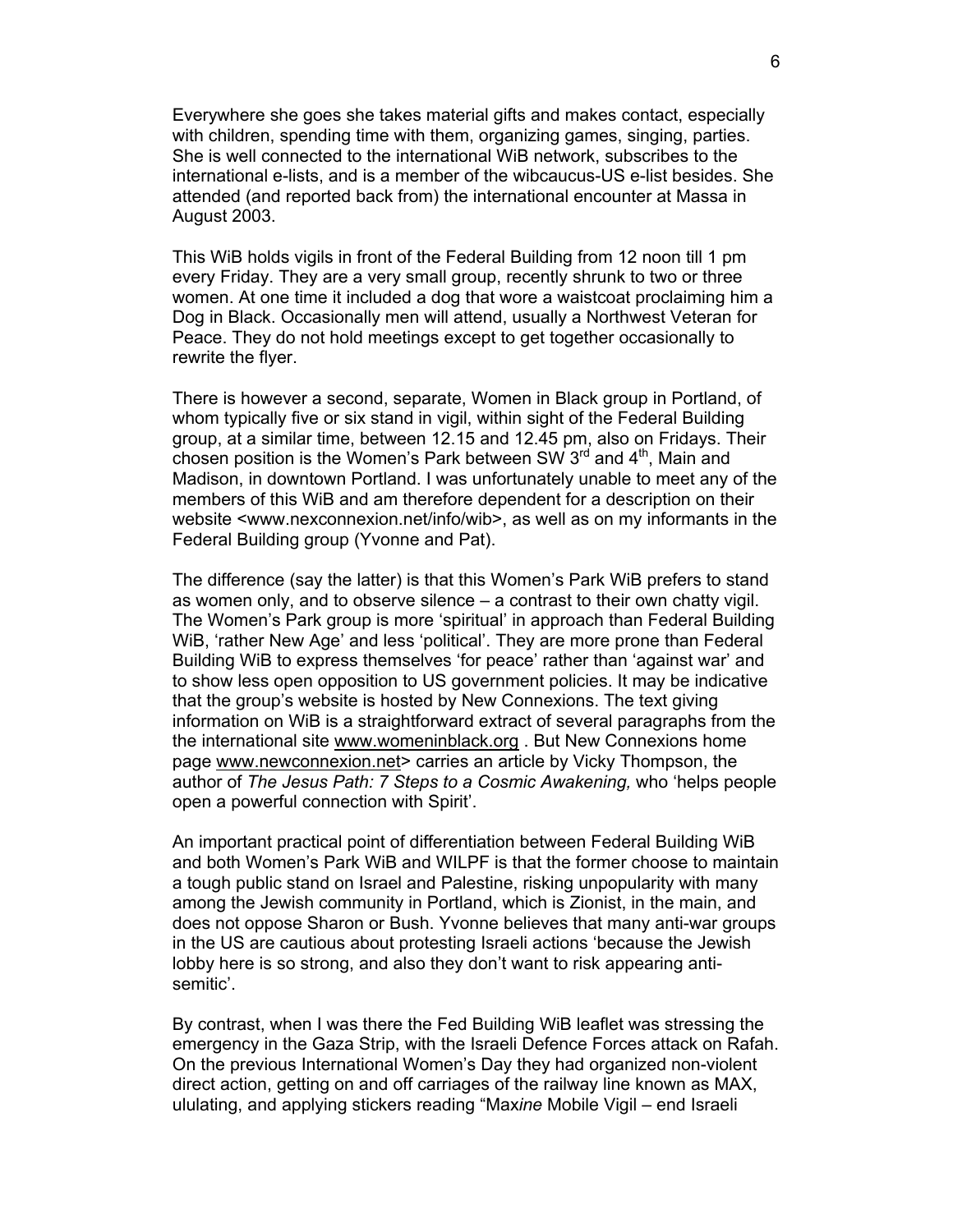Everywhere she goes she takes material gifts and makes contact, especially with children, spending time with them, organizing games, singing, parties. She is well connected to the international WiB network, subscribes to the international e-lists, and is a member of the wibcaucus-US e-list besides. She attended (and reported back from) the international encounter at Massa in August 2003.

This WiB holds vigils in front of the Federal Building from 12 noon till 1 pm every Friday. They are a very small group, recently shrunk to two or three women. At one time it included a dog that wore a waistcoat proclaiming him a Dog in Black. Occasionally men will attend, usually a Northwest Veteran for Peace. They do not hold meetings except to get together occasionally to rewrite the flyer.

There is however a second, separate, Women in Black group in Portland, of whom typically five or six stand in vigil, within sight of the Federal Building group, at a similar time, between 12.15 and 12.45 pm, also on Fridays. Their chosen position is the Women's Park between SW  $3<sup>rd</sup>$  and  $4<sup>th</sup>$ , Main and Madison, in downtown Portland. I was unfortunately unable to meet any of the members of this WiB and am therefore dependent for a description on their website <www.nexconnexion.net/info/wib>, as well as on my informants in the Federal Building group (Yvonne and Pat).

The difference (say the latter) is that this Women's Park WiB prefers to stand as women only, and to observe silence – a contrast to their own chatty vigil. The Women's Park group is more 'spiritual' in approach than Federal Building WiB, 'rather New Age' and less 'political'. They are more prone than Federal Building WiB to express themselves 'for peace' rather than 'against war' and to show less open opposition to US government policies. It may be indicative that the group's website is hosted by New Connexions. The text giving information on WiB is a straightforward extract of several paragraphs from the the international site www.womeninblack.org . But New Connexions home page www.newconnexion.net> carries an article by Vicky Thompson, the author of *The Jesus Path: 7 Steps to a Cosmic Awakening,* who 'helps people open a powerful connection with Spirit'.

An important practical point of differentiation between Federal Building WiB and both Women's Park WiB and WILPF is that the former choose to maintain a tough public stand on Israel and Palestine, risking unpopularity with many among the Jewish community in Portland, which is Zionist, in the main, and does not oppose Sharon or Bush. Yvonne believes that many anti-war groups in the US are cautious about protesting Israeli actions 'because the Jewish lobby here is so strong, and also they don't want to risk appearing antisemitic'.

By contrast, when I was there the Fed Building WiB leaflet was stressing the emergency in the Gaza Strip, with the Israeli Defence Forces attack on Rafah. On the previous International Women's Day they had organized non-violent direct action, getting on and off carriages of the railway line known as MAX, ululating, and applying stickers reading "Max*ine* Mobile Vigil – end Israeli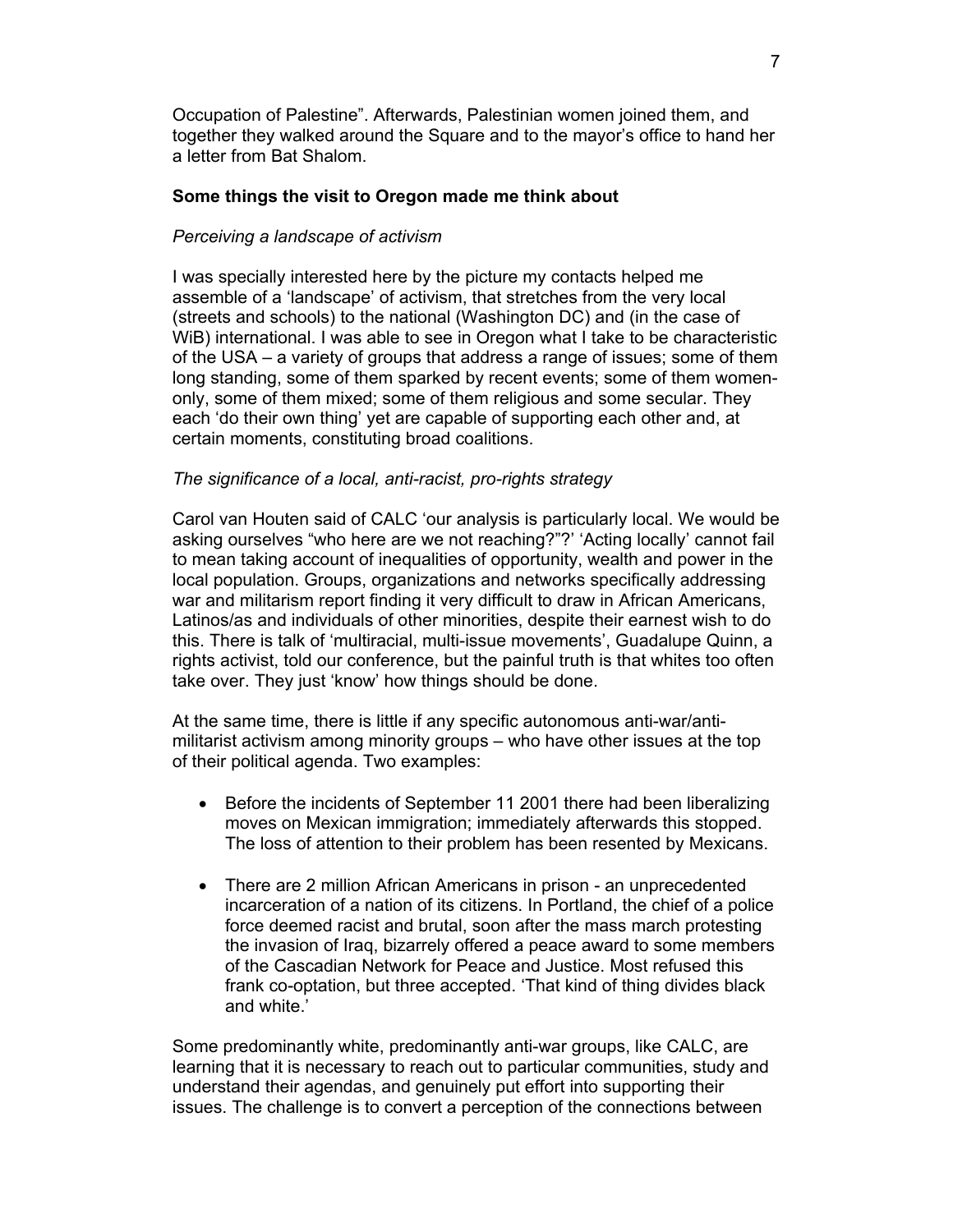Occupation of Palestine". Afterwards, Palestinian women joined them, and together they walked around the Square and to the mayor's office to hand her a letter from Bat Shalom.

# **Some things the visit to Oregon made me think about**

# *Perceiving a landscape of activism*

I was specially interested here by the picture my contacts helped me assemble of a 'landscape' of activism, that stretches from the very local (streets and schools) to the national (Washington DC) and (in the case of WiB) international. I was able to see in Oregon what I take to be characteristic of the USA – a variety of groups that address a range of issues; some of them long standing, some of them sparked by recent events; some of them womenonly, some of them mixed; some of them religious and some secular. They each 'do their own thing' yet are capable of supporting each other and, at certain moments, constituting broad coalitions.

# *The significance of a local, anti-racist, pro-rights strategy*

Carol van Houten said of CALC 'our analysis is particularly local. We would be asking ourselves "who here are we not reaching?"?' 'Acting locally' cannot fail to mean taking account of inequalities of opportunity, wealth and power in the local population. Groups, organizations and networks specifically addressing war and militarism report finding it very difficult to draw in African Americans, Latinos/as and individuals of other minorities, despite their earnest wish to do this. There is talk of 'multiracial, multi-issue movements', Guadalupe Quinn, a rights activist, told our conference, but the painful truth is that whites too often take over. They just 'know' how things should be done.

At the same time, there is little if any specific autonomous anti-war/antimilitarist activism among minority groups – who have other issues at the top of their political agenda. Two examples:

- Before the incidents of September 11 2001 there had been liberalizing moves on Mexican immigration; immediately afterwards this stopped. The loss of attention to their problem has been resented by Mexicans.
- There are 2 million African Americans in prison an unprecedented incarceration of a nation of its citizens. In Portland, the chief of a police force deemed racist and brutal, soon after the mass march protesting the invasion of Iraq, bizarrely offered a peace award to some members of the Cascadian Network for Peace and Justice. Most refused this frank co-optation, but three accepted. 'That kind of thing divides black and white.'

Some predominantly white, predominantly anti-war groups, like CALC, are learning that it is necessary to reach out to particular communities, study and understand their agendas, and genuinely put effort into supporting their issues. The challenge is to convert a perception of the connections between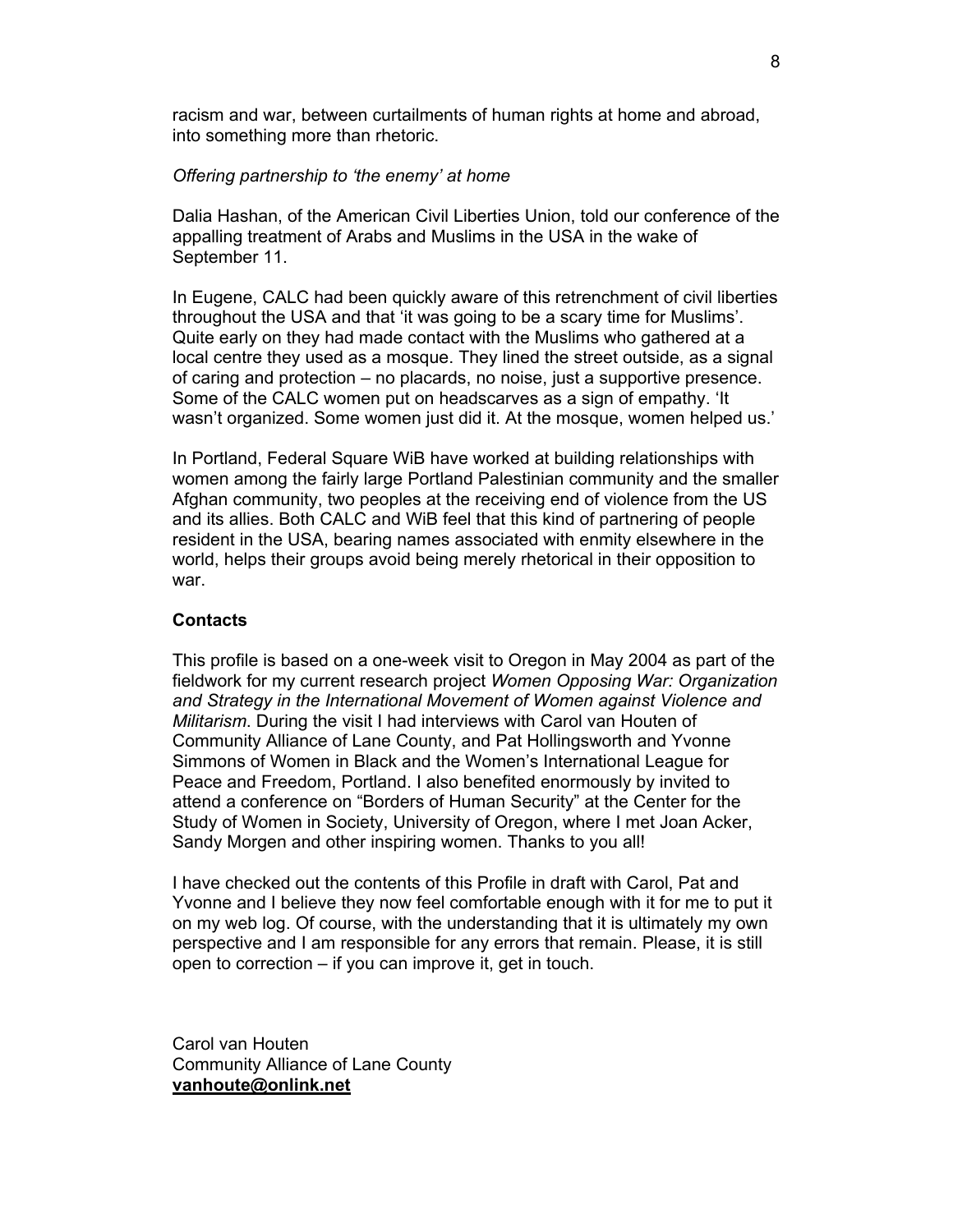racism and war, between curtailments of human rights at home and abroad, into something more than rhetoric.

#### *Offering partnership to 'the enemy' at home*

Dalia Hashan, of the American Civil Liberties Union, told our conference of the appalling treatment of Arabs and Muslims in the USA in the wake of September 11.

In Eugene, CALC had been quickly aware of this retrenchment of civil liberties throughout the USA and that 'it was going to be a scary time for Muslims'. Quite early on they had made contact with the Muslims who gathered at a local centre they used as a mosque. They lined the street outside, as a signal of caring and protection – no placards, no noise, just a supportive presence. Some of the CALC women put on headscarves as a sign of empathy. 'It wasn't organized. Some women just did it. At the mosque, women helped us.'

In Portland, Federal Square WiB have worked at building relationships with women among the fairly large Portland Palestinian community and the smaller Afghan community, two peoples at the receiving end of violence from the US and its allies. Both CALC and WiB feel that this kind of partnering of people resident in the USA, bearing names associated with enmity elsewhere in the world, helps their groups avoid being merely rhetorical in their opposition to war.

#### **Contacts**

This profile is based on a one-week visit to Oregon in May 2004 as part of the fieldwork for my current research project *Women Opposing War: Organization and Strategy in the International Movement of Women against Violence and Militarism*. During the visit I had interviews with Carol van Houten of Community Alliance of Lane County, and Pat Hollingsworth and Yvonne Simmons of Women in Black and the Women's International League for Peace and Freedom, Portland. I also benefited enormously by invited to attend a conference on "Borders of Human Security" at the Center for the Study of Women in Society, University of Oregon, where I met Joan Acker, Sandy Morgen and other inspiring women. Thanks to you all!

I have checked out the contents of this Profile in draft with Carol, Pat and Yvonne and I believe they now feel comfortable enough with it for me to put it on my web log. Of course, with the understanding that it is ultimately my own perspective and I am responsible for any errors that remain. Please, it is still open to correction – if you can improve it, get in touch.

Carol van Houten Community Alliance of Lane County **vanhoute@onlink.net**